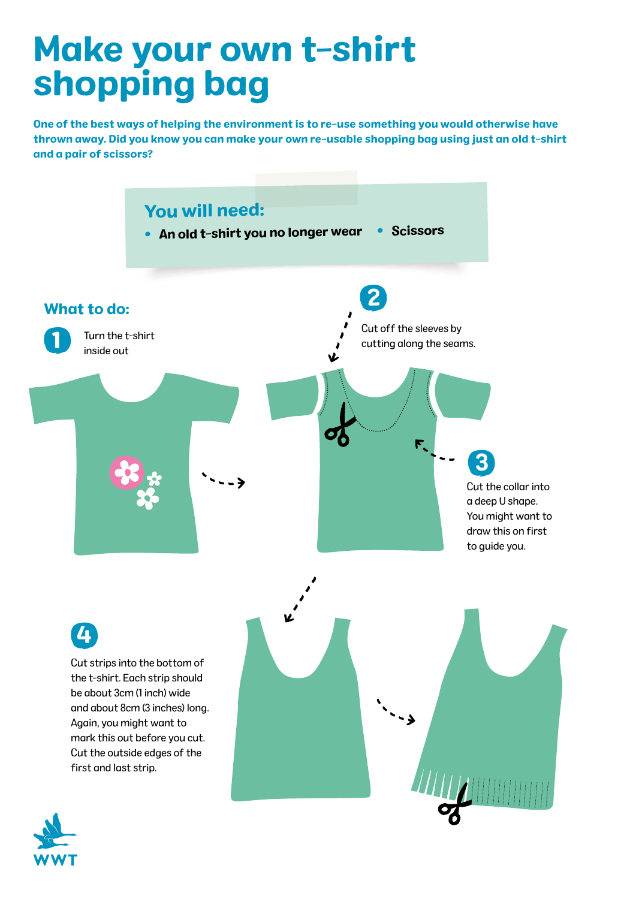## Make your own t-shirt shopping bag

One of the best ways of helping the environment is to re-use something you would otherwise have thrown away. Did you know you can make your own re-usable shopping bag using just an old t-shirt and a pair of scissors?



Cut strips into the bottom of the t-shirt. Each strip should be about 3cm (1 inch) wide and about 8cm (3 inches) long. Again, you might want to mark this out before you cut. Cut the outside edges of the first and last strip. 4